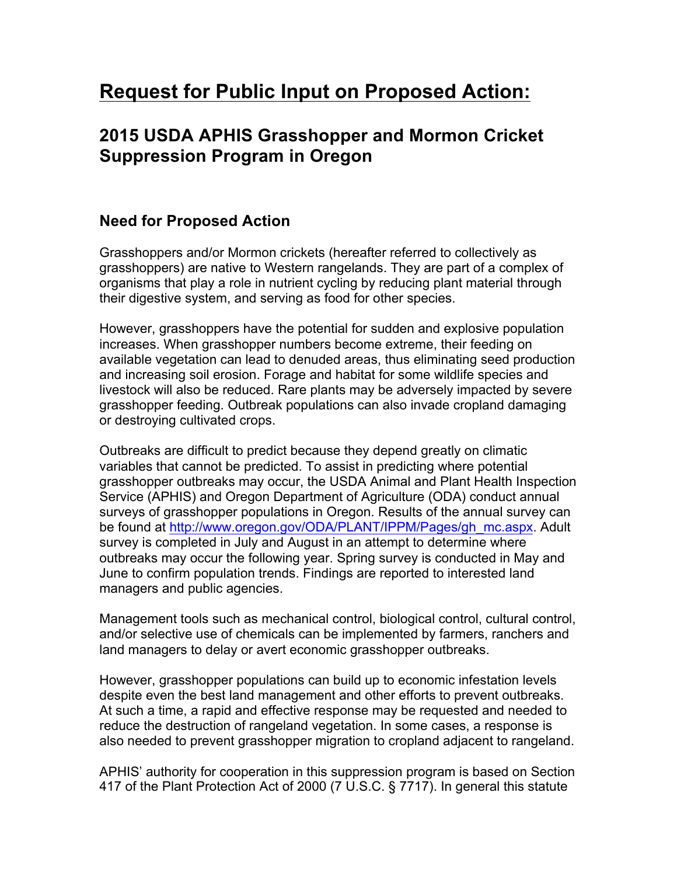# **Request for Public Input on Proposed Action:**

## **2015 USDA APHIS Grasshopper and Mormon Cricket Suppression Program in Oregon**

## **Need for Proposed Action**

Grasshoppers and/or Mormon crickets (hereafter referred to collectively as grasshoppers) are native to Western rangelands. They are part of a complex of organisms that play a role in nutrient cycling by reducing plant material through their digestive system, and serving as food for other species.

However, grasshoppers have the potential for sudden and explosive population increases. When grasshopper numbers become extreme, their feeding on available vegetation can lead to denuded areas, thus eliminating seed production and increasing soil erosion. Forage and habitat for some wildlife species and livestock will also be reduced. Rare plants may be adversely impacted by severe grasshopper feeding. Outbreak populations can also invade cropland damaging or destroying cultivated crops.

Outbreaks are difficult to predict because they depend greatly on climatic variables that cannot be predicted. To assist in predicting where potential grasshopper outbreaks may occur, the USDA Animal and Plant Health Inspection Service (APHIS) and Oregon Department of Agriculture (ODA) conduct annual surveys of grasshopper populations in Oregon. Results of the annual survey can be found at http://www.oregon.gov/ODA/PLANT/IPPM/Pages/gh\_mc.aspx. Adult survey is completed in July and August in an attempt to determine where outbreaks may occur the following year. Spring survey is conducted in May and June to confirm population trends. Findings are reported to interested land managers and public agencies.

Management tools such as mechanical control, biological control, cultural control, and/or selective use of chemicals can be implemented by farmers, ranchers and land managers to delay or avert economic grasshopper outbreaks.

However, grasshopper populations can build up to economic infestation levels despite even the best land management and other efforts to prevent outbreaks. At such a time, a rapid and effective response may be requested and needed to reduce the destruction of rangeland vegetation. In some cases, a response is also needed to prevent grasshopper migration to cropland adjacent to rangeland.

APHIS' authority for cooperation in this suppression program is based on Section 417 of the Plant Protection Act of 2000 (7 U.S.C. § 7717). In general this statute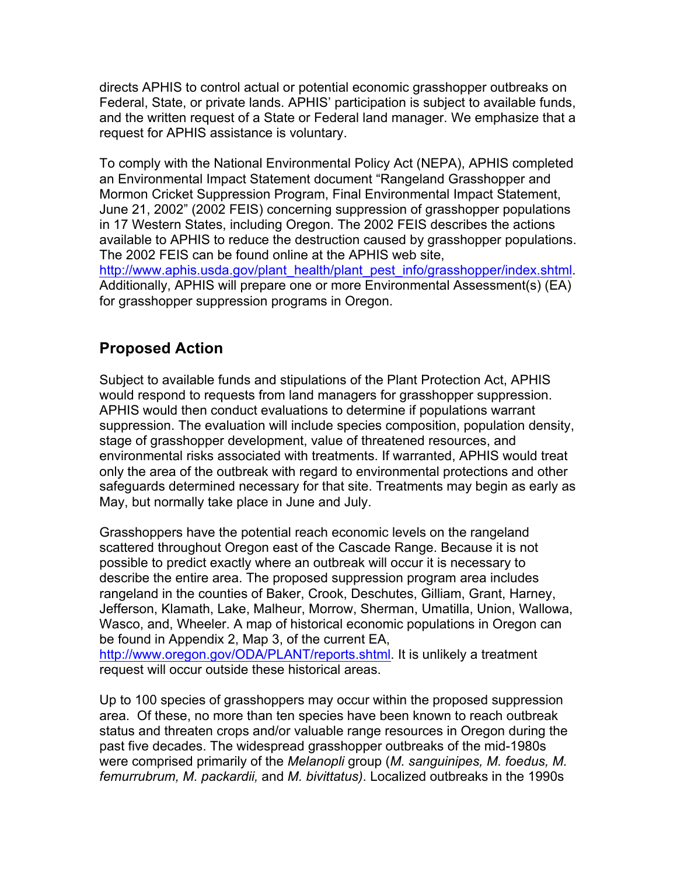directs APHIS to control actual or potential economic grasshopper outbreaks on Federal, State, or private lands. APHIS' participation is subject to available funds, and the written request of a State or Federal land manager. We emphasize that a request for APHIS assistance is voluntary.

To comply with the National Environmental Policy Act (NEPA), APHIS completed an Environmental Impact Statement document "Rangeland Grasshopper and Mormon Cricket Suppression Program, Final Environmental Impact Statement, June 21, 2002" (2002 FEIS) concerning suppression of grasshopper populations in 17 Western States, including Oregon. The 2002 FEIS describes the actions available to APHIS to reduce the destruction caused by grasshopper populations. The 2002 FEIS can be found online at the APHIS web site,

http://www.aphis.usda.gov/plant\_health/plant\_pest\_info/grasshopper/index.shtml. Additionally, APHIS will prepare one or more Environmental Assessment(s) (EA) for grasshopper suppression programs in Oregon.

## **Proposed Action**

Subject to available funds and stipulations of the Plant Protection Act, APHIS would respond to requests from land managers for grasshopper suppression. APHIS would then conduct evaluations to determine if populations warrant suppression. The evaluation will include species composition, population density, stage of grasshopper development, value of threatened resources, and environmental risks associated with treatments. If warranted, APHIS would treat only the area of the outbreak with regard to environmental protections and other safeguards determined necessary for that site. Treatments may begin as early as May, but normally take place in June and July.

Grasshoppers have the potential reach economic levels on the rangeland scattered throughout Oregon east of the Cascade Range. Because it is not possible to predict exactly where an outbreak will occur it is necessary to describe the entire area. The proposed suppression program area includes rangeland in the counties of Baker, Crook, Deschutes, Gilliam, Grant, Harney, Jefferson, Klamath, Lake, Malheur, Morrow, Sherman, Umatilla, Union, Wallowa, Wasco, and, Wheeler. A map of historical economic populations in Oregon can be found in Appendix 2, Map 3, of the current EA, http://www.oregon.gov/ODA/PLANT/reports.shtml. It is unlikely a treatment request will occur outside these historical areas.

Up to 100 species of grasshoppers may occur within the proposed suppression area. Of these, no more than ten species have been known to reach outbreak status and threaten crops and/or valuable range resources in Oregon during the past five decades. The widespread grasshopper outbreaks of the mid-1980s were comprised primarily of the *Melanopli* group (*M. sanguinipes, M. foedus, M. femurrubrum, M. packardii,* and *M. bivittatus)*. Localized outbreaks in the 1990s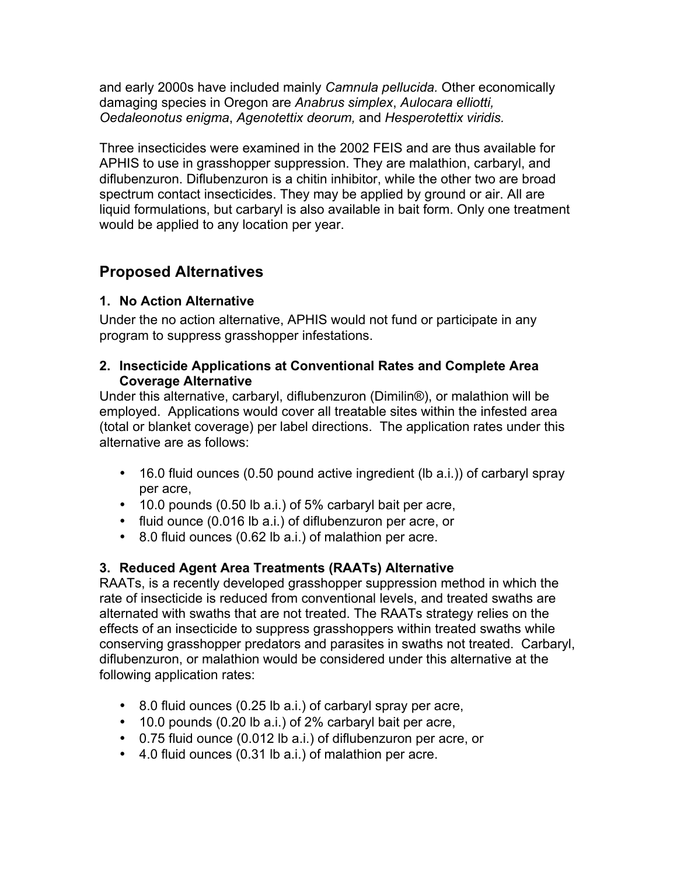and early 2000s have included mainly *Camnula pellucida.* Other economically damaging species in Oregon are *Anabrus simplex*, *Aulocara elliotti, Oedaleonotus enigma*, *Agenotettix deorum,* and *Hesperotettix viridis.*

Three insecticides were examined in the 2002 FEIS and are thus available for APHIS to use in grasshopper suppression. They are malathion, carbaryl, and diflubenzuron. Diflubenzuron is a chitin inhibitor, while the other two are broad spectrum contact insecticides. They may be applied by ground or air. All are liquid formulations, but carbaryl is also available in bait form. Only one treatment would be applied to any location per year.

## **Proposed Alternatives**

#### **1. No Action Alternative**

Under the no action alternative, APHIS would not fund or participate in any program to suppress grasshopper infestations.

#### **2. Insecticide Applications at Conventional Rates and Complete Area Coverage Alternative**

Under this alternative, carbaryl, diflubenzuron (Dimilin®), or malathion will be employed. Applications would cover all treatable sites within the infested area (total or blanket coverage) per label directions. The application rates under this alternative are as follows:

- 16.0 fluid ounces (0.50 pound active ingredient (lb a.i.)) of carbaryl spray per acre,
- 10.0 pounds (0.50 lb a.i.) of 5% carbaryl bait per acre,
- fluid ounce (0.016 lb a.i.) of diflubenzuron per acre, or
- 8.0 fluid ounces (0.62 lb a.i.) of malathion per acre.

### **3. Reduced Agent Area Treatments (RAATs) Alternative**

RAATs, is a recently developed grasshopper suppression method in which the rate of insecticide is reduced from conventional levels, and treated swaths are alternated with swaths that are not treated. The RAATs strategy relies on the effects of an insecticide to suppress grasshoppers within treated swaths while conserving grasshopper predators and parasites in swaths not treated. Carbaryl, diflubenzuron, or malathion would be considered under this alternative at the following application rates:

- 8.0 fluid ounces (0.25 lb a.i.) of carbaryl spray per acre,
- 10.0 pounds (0.20 lb a.i.) of 2% carbaryl bait per acre,
- 0.75 fluid ounce (0.012 lb a.i.) of diflubenzuron per acre, or
- 4.0 fluid ounces (0.31 lb a.i.) of malathion per acre.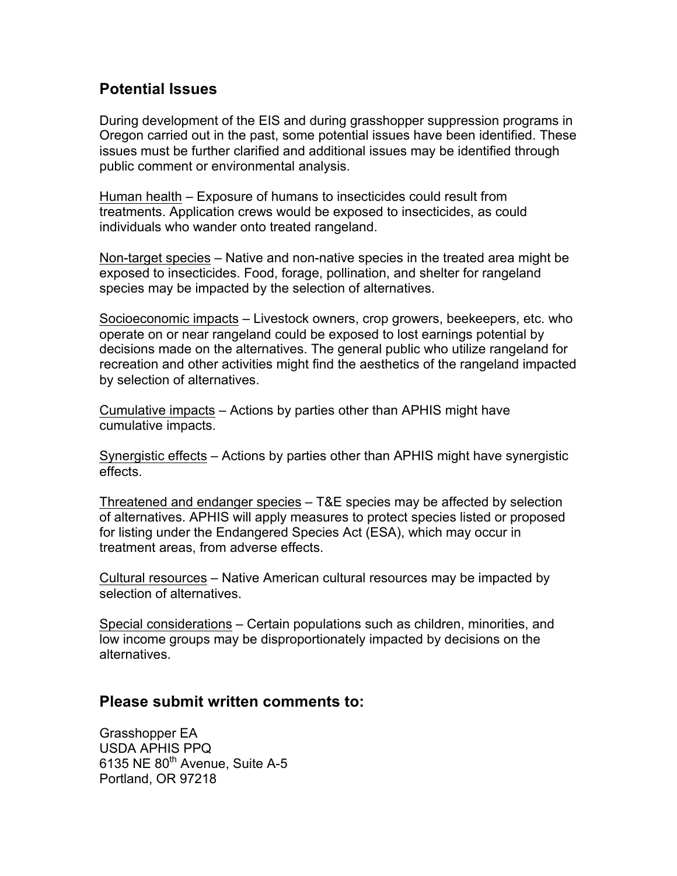## **Potential Issues**

During development of the EIS and during grasshopper suppression programs in Oregon carried out in the past, some potential issues have been identified. These issues must be further clarified and additional issues may be identified through public comment or environmental analysis.

Human health – Exposure of humans to insecticides could result from treatments. Application crews would be exposed to insecticides, as could individuals who wander onto treated rangeland.

Non-target species – Native and non-native species in the treated area might be exposed to insecticides. Food, forage, pollination, and shelter for rangeland species may be impacted by the selection of alternatives.

Socioeconomic impacts – Livestock owners, crop growers, beekeepers, etc. who operate on or near rangeland could be exposed to lost earnings potential by decisions made on the alternatives. The general public who utilize rangeland for recreation and other activities might find the aesthetics of the rangeland impacted by selection of alternatives.

Cumulative impacts – Actions by parties other than APHIS might have cumulative impacts.

Synergistic effects – Actions by parties other than APHIS might have synergistic effects.

Threatened and endanger species – T&E species may be affected by selection of alternatives. APHIS will apply measures to protect species listed or proposed for listing under the Endangered Species Act (ESA), which may occur in treatment areas, from adverse effects.

Cultural resources – Native American cultural resources may be impacted by selection of alternatives.

Special considerations – Certain populations such as children, minorities, and low income groups may be disproportionately impacted by decisions on the alternatives.

#### **Please submit written comments to:**

Grasshopper EA USDA APHIS PPQ 6135 NE  $80<sup>th</sup>$  Avenue, Suite A-5 Portland, OR 97218